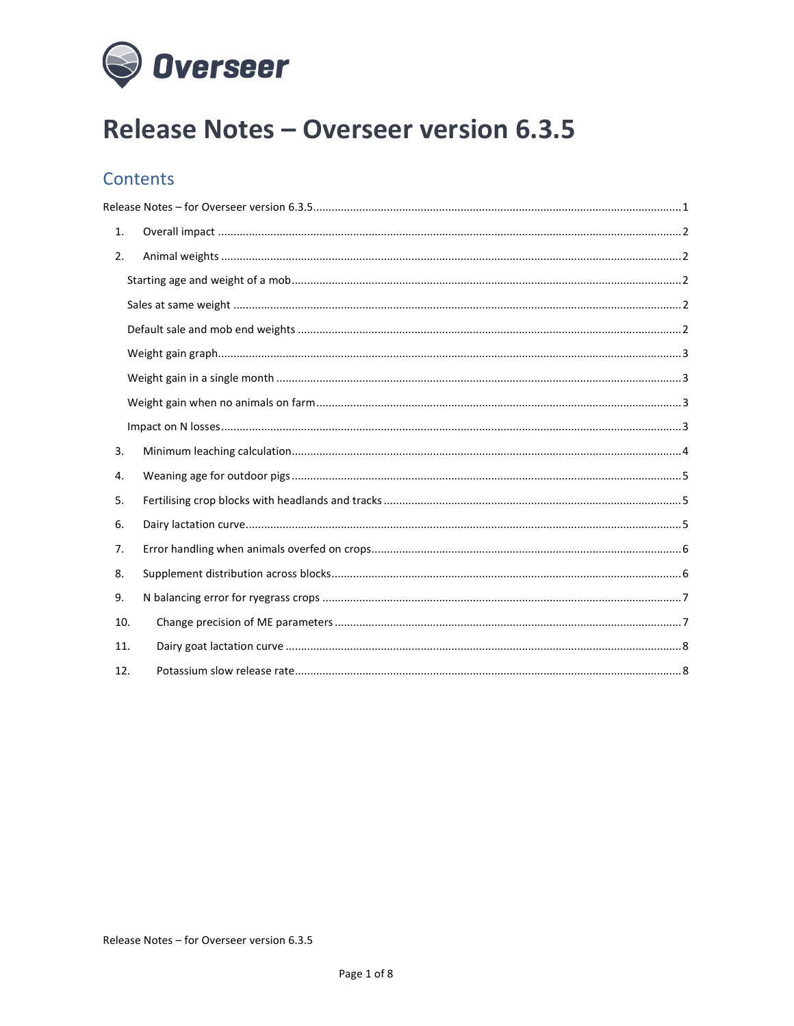

# **Release Notes - Overseer version 6.3.5**

## **Contents**

| 1.  |  |  |  |
|-----|--|--|--|
| 2.  |  |  |  |
|     |  |  |  |
|     |  |  |  |
|     |  |  |  |
|     |  |  |  |
|     |  |  |  |
|     |  |  |  |
|     |  |  |  |
| 3.  |  |  |  |
| 4.  |  |  |  |
| 5.  |  |  |  |
| 6.  |  |  |  |
| 7.  |  |  |  |
| 8.  |  |  |  |
| 9.  |  |  |  |
| 10. |  |  |  |
| 11. |  |  |  |
| 12. |  |  |  |

Release Notes - for Overseer version 6.3.5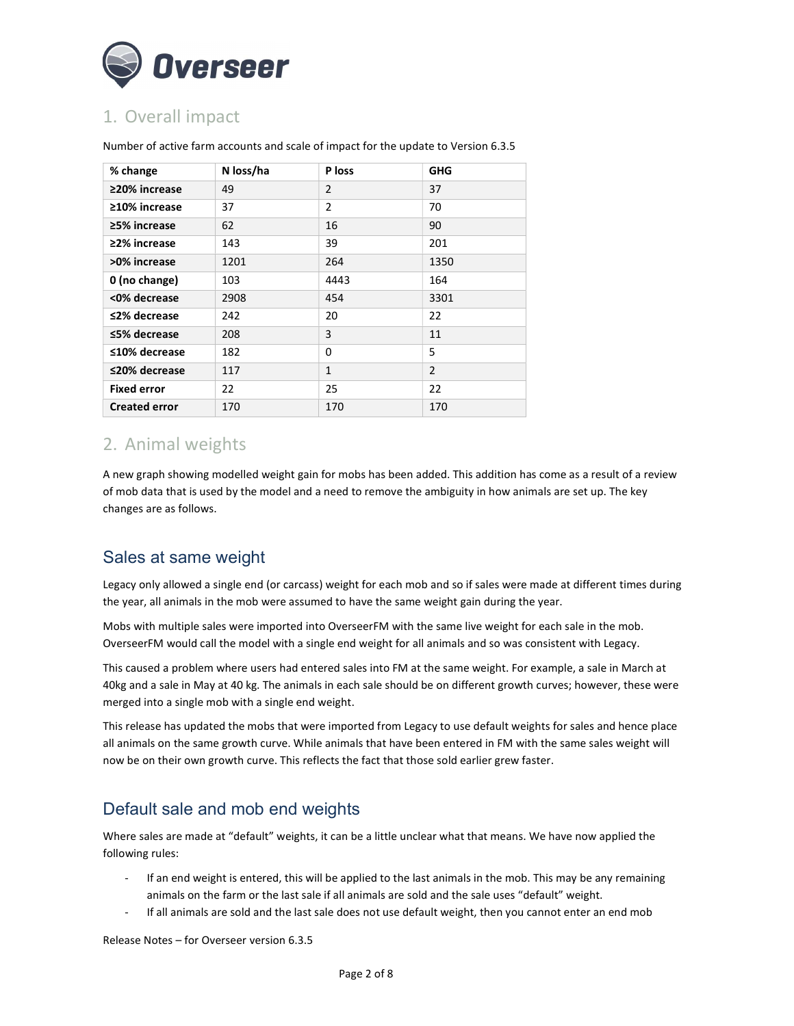

## 1. Overall impact

| % change             | N loss/ha | P loss         | <b>GHG</b>     |
|----------------------|-----------|----------------|----------------|
| ≥20% increase        | 49        | $\overline{2}$ | 37             |
| $\geq$ 10% increase  | 37        | 2              | 70             |
| ≥5% increase         | 62        | 16             | 90             |
| ≥2% increase         | 143       | 39             | 201            |
| >0% increase         | 1201      | 264            | 1350           |
| 0 (no change)        | 103       | 4443           | 164            |
| <0% decrease         | 2908      | 454            | 3301           |
| ≤2% decrease         | 242       | 20             | 22             |
| ≤5% decrease         | 208       | 3              | 11             |
| ≤10% decrease        | 182       | 0              | 5              |
| ≤20% decrease        | 117       | $\mathbf{1}$   | $\overline{2}$ |
| <b>Fixed error</b>   | 22        | 25             | 22             |
| <b>Created error</b> | 170       | 170            | 170            |

Number of active farm accounts and scale of impact for the update to Version 6.3.5

#### 2. Animal weights

A new graph showing modelled weight gain for mobs has been added. This addition has come as a result of a review of mob data that is used by the model and a need to remove the ambiguity in how animals are set up. The key changes are as follows.

#### Sales at same weight

Legacy only allowed a single end (or carcass) weight for each mob and so if sales were made at different times during the year, all animals in the mob were assumed to have the same weight gain during the year.

Mobs with multiple sales were imported into OverseerFM with the same live weight for each sale in the mob. OverseerFM would call the model with a single end weight for all animals and so was consistent with Legacy.

This caused a problem where users had entered sales into FM at the same weight. For example, a sale in March at 40kg and a sale in May at 40 kg. The animals in each sale should be on different growth curves; however, these were merged into a single mob with a single end weight.

This release has updated the mobs that were imported from Legacy to use default weights for sales and hence place all animals on the same growth curve. While animals that have been entered in FM with the same sales weight will now be on their own growth curve. This reflects the fact that those sold earlier grew faster.

### Default sale and mob end weights

Where sales are made at "default" weights, it can be a little unclear what that means. We have now applied the following rules:

- If an end weight is entered, this will be applied to the last animals in the mob. This may be any remaining animals on the farm or the last sale if all animals are sold and the sale uses "default" weight.
- If all animals are sold and the last sale does not use default weight, then you cannot enter an end mob

Release Notes – for Overseer version 6.3.5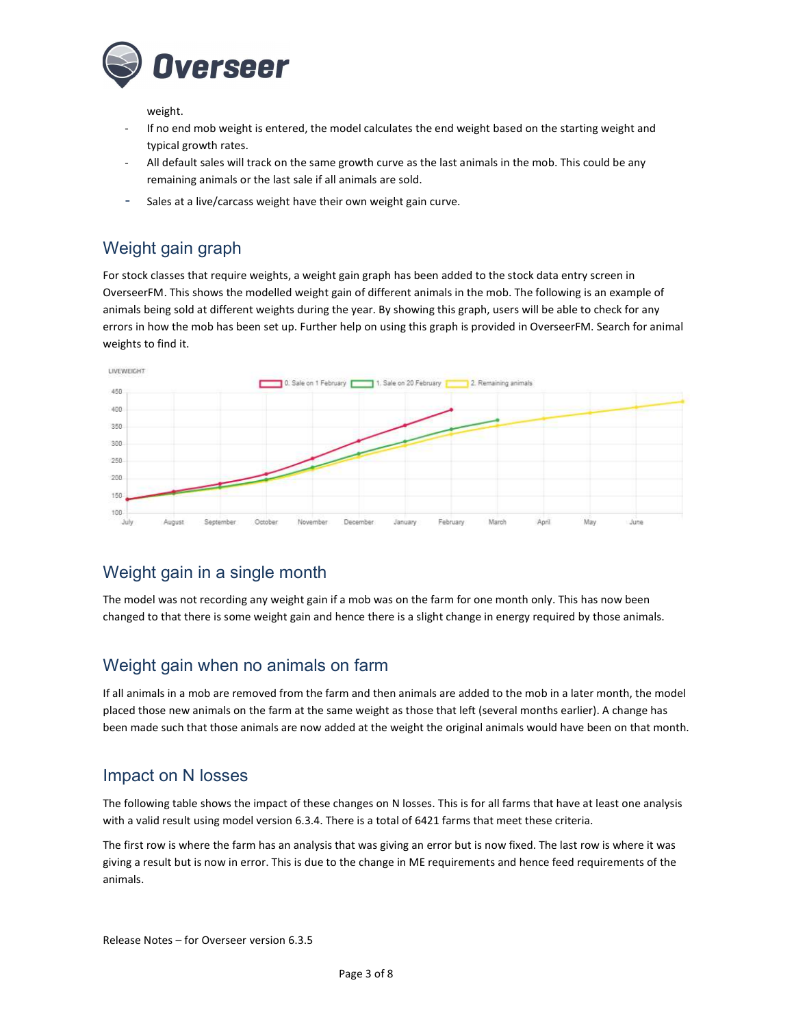

weight.

- If no end mob weight is entered, the model calculates the end weight based on the starting weight and typical growth rates.
- All default sales will track on the same growth curve as the last animals in the mob. This could be any remaining animals or the last sale if all animals are sold.
- Sales at a live/carcass weight have their own weight gain curve.

## Weight gain graph

For stock classes that require weights, a weight gain graph has been added to the stock data entry screen in OverseerFM. This shows the modelled weight gain of different animals in the mob. The following is an example of animals being sold at different weights during the year. By showing this graph, users will be able to check for any errors in how the mob has been set up. Further help on using this graph is provided in OverseerFM. Search for animal weights to find it.



### Weight gain in a single month

The model was not recording any weight gain if a mob was on the farm for one month only. This has now been changed to that there is some weight gain and hence there is a slight change in energy required by those animals.

#### Weight gain when no animals on farm

If all animals in a mob are removed from the farm and then animals are added to the mob in a later month, the model placed those new animals on the farm at the same weight as those that left (several months earlier). A change has been made such that those animals are now added at the weight the original animals would have been on that month.

#### Impact on N losses

The following table shows the impact of these changes on N losses. This is for all farms that have at least one analysis with a valid result using model version 6.3.4. There is a total of 6421 farms that meet these criteria.

The first row is where the farm has an analysis that was giving an error but is now fixed. The last row is where it was giving a result but is now in error. This is due to the change in ME requirements and hence feed requirements of the animals.

Release Notes – for Overseer version 6.3.5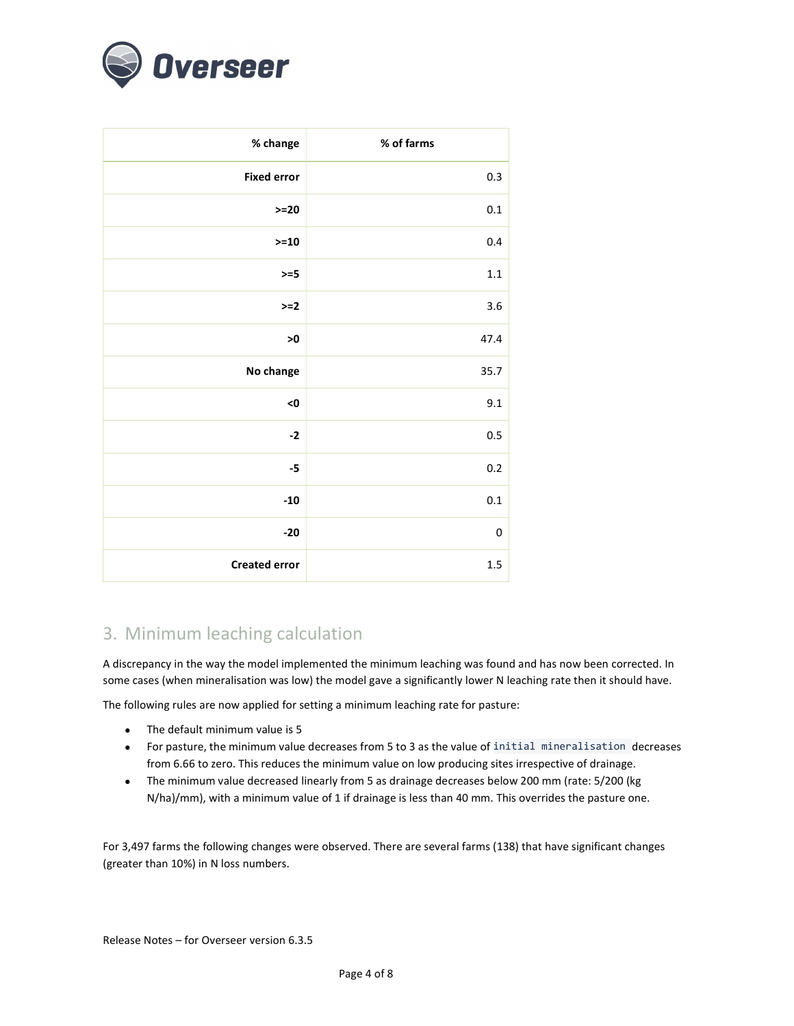

| % change             | % of farms |
|----------------------|------------|
| <b>Fixed error</b>   | 0.3        |
| $>=20$               | $0.1\,$    |
| $>=10$               | 0.4        |
| $>=5$                | 1.1        |
| $>=2$                | 3.6        |
| >0                   | 47.4       |
| No change            | 35.7       |
| <0                   | 9.1        |
| $-2$                 | 0.5        |
| $-5$                 | $0.2\,$    |
| $-10$                | $0.1\,$    |
| $-20$                | $\pmb{0}$  |
| <b>Created error</b> | $1.5\,$    |

## 3. Minimum leaching calculation

A discrepancy in the way the model implemented the minimum leaching was found and has now been corrected. In some cases (when mineralisation was low) the model gave a significantly lower N leaching rate then it should have.

The following rules are now applied for setting a minimum leaching rate for pasture:

- The default minimum value is 5
- For pasture, the minimum value decreases from 5 to 3 as the value of initial mineralisation decreases from 6.66 to zero. This reduces the minimum value on low producing sites irrespective of drainage.
- The minimum value decreased linearly from 5 as drainage decreases below 200 mm (rate: 5/200 (kg N/ha)/mm), with a minimum value of 1 if drainage is less than 40 mm. This overrides the pasture one.

For 3,497 farms the following changes were observed. There are several farms (138) that have significant changes (greater than 10%) in N loss numbers.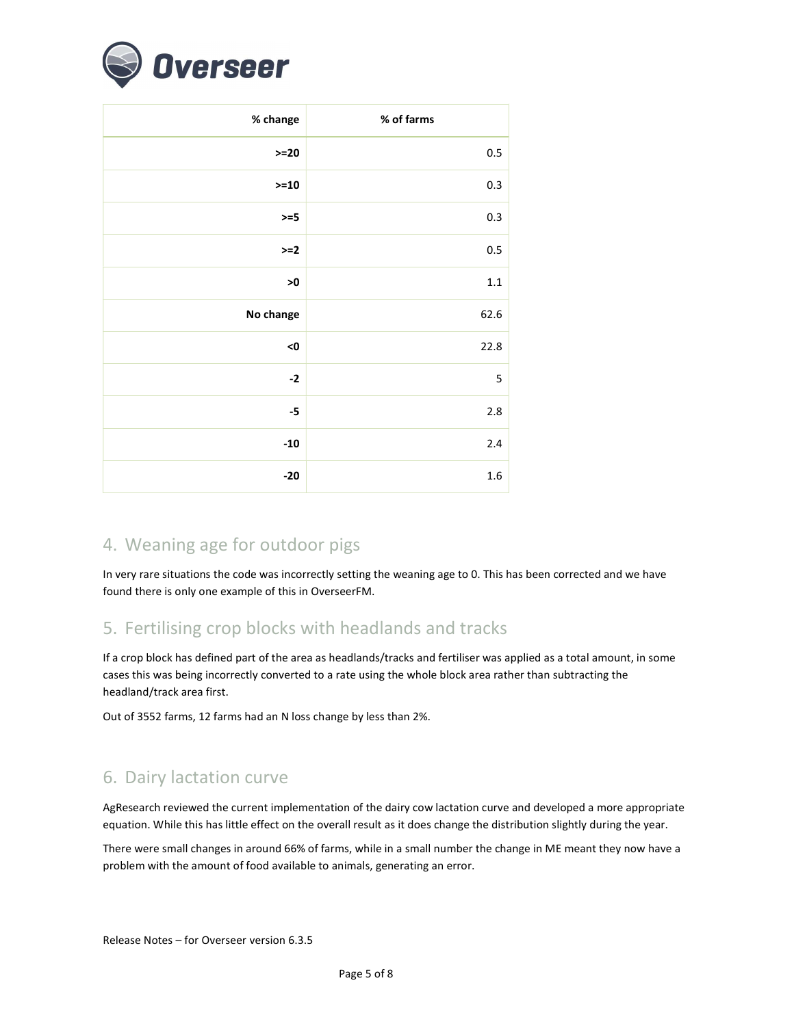

| % change      | % of farms |
|---------------|------------|
| $>=20$        | 0.5        |
| $>=10$        | 0.3        |
| $>=5$         | 0.3        |
| $>=2$         | 0.5        |
| $\mathbf{>0}$ | $1.1\,$    |
| No change     | 62.6       |
| <0            | 22.8       |
| $-2$          | 5          |
| $-5$          | 2.8        |
| $-10$         | 2.4        |
| $-20$         | 1.6        |

## 4. Weaning age for outdoor pigs

In very rare situations the code was incorrectly setting the weaning age to 0. This has been corrected and we have found there is only one example of this in OverseerFM.

#### 5. Fertilising crop blocks with headlands and tracks

If a crop block has defined part of the area as headlands/tracks and fertiliser was applied as a total amount, in some cases this was being incorrectly converted to a rate using the whole block area rather than subtracting the headland/track area first.

Out of 3552 farms, 12 farms had an N loss change by less than 2%.

### 6. Dairy lactation curve

AgResearch reviewed the current implementation of the dairy cow lactation curve and developed a more appropriate equation. While this has little effect on the overall result as it does change the distribution slightly during the year.

There were small changes in around 66% of farms, while in a small number the change in ME meant they now have a problem with the amount of food available to animals, generating an error.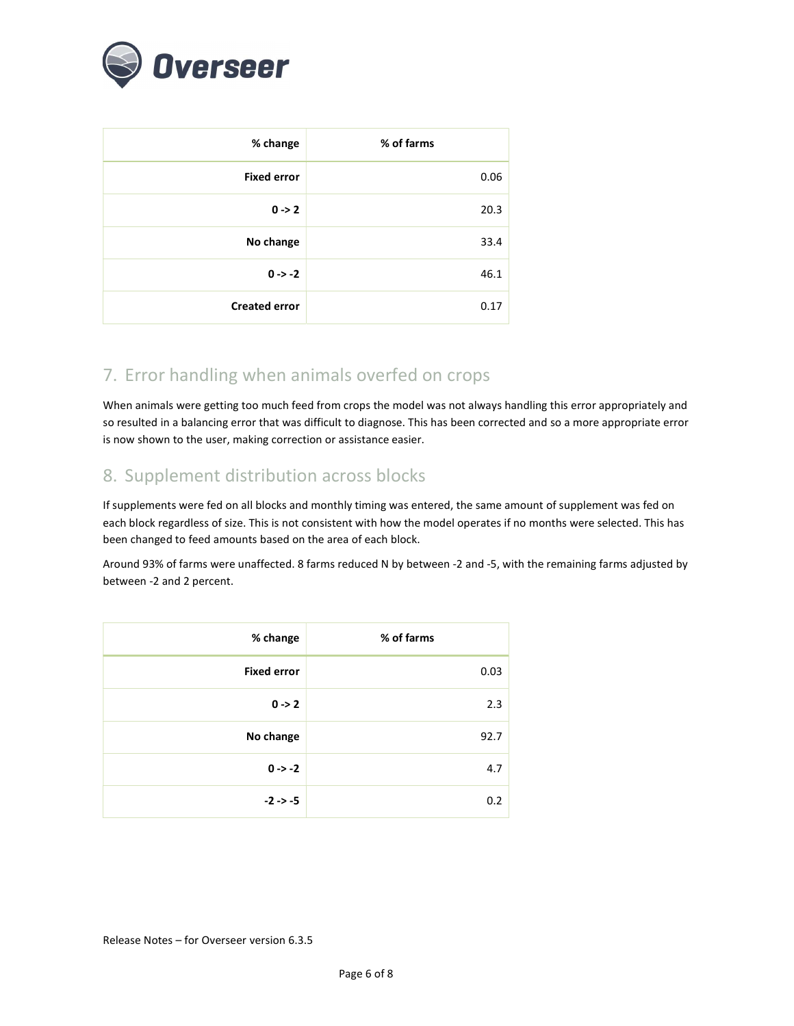

| % change             | % of farms |
|----------------------|------------|
| <b>Fixed error</b>   | 0.06       |
| $0 \rightarrow 2$    | 20.3       |
| No change            | 33.4       |
| $0 - > -2$           | 46.1       |
| <b>Created error</b> | 0.17       |

## 7. Error handling when animals overfed on crops

When animals were getting too much feed from crops the model was not always handling this error appropriately and so resulted in a balancing error that was difficult to diagnose. This has been corrected and so a more appropriate error is now shown to the user, making correction or assistance easier.

## 8. Supplement distribution across blocks

If supplements were fed on all blocks and monthly timing was entered, the same amount of supplement was fed on each block regardless of size. This is not consistent with how the model operates if no months were selected. This has been changed to feed amounts based on the area of each block.

Around 93% of farms were unaffected. 8 farms reduced N by between -2 and -5, with the remaining farms adjusted by between -2 and 2 percent.

| % change           | % of farms |
|--------------------|------------|
| <b>Fixed error</b> | 0.03       |
| $0 \rightarrow 2$  | 2.3        |
| No change          | 92.7       |
| $0 \rightarrow -2$ | 4.7        |
| $-2$ $-5$          | 0.2        |

Release Notes – for Overseer version 6.3.5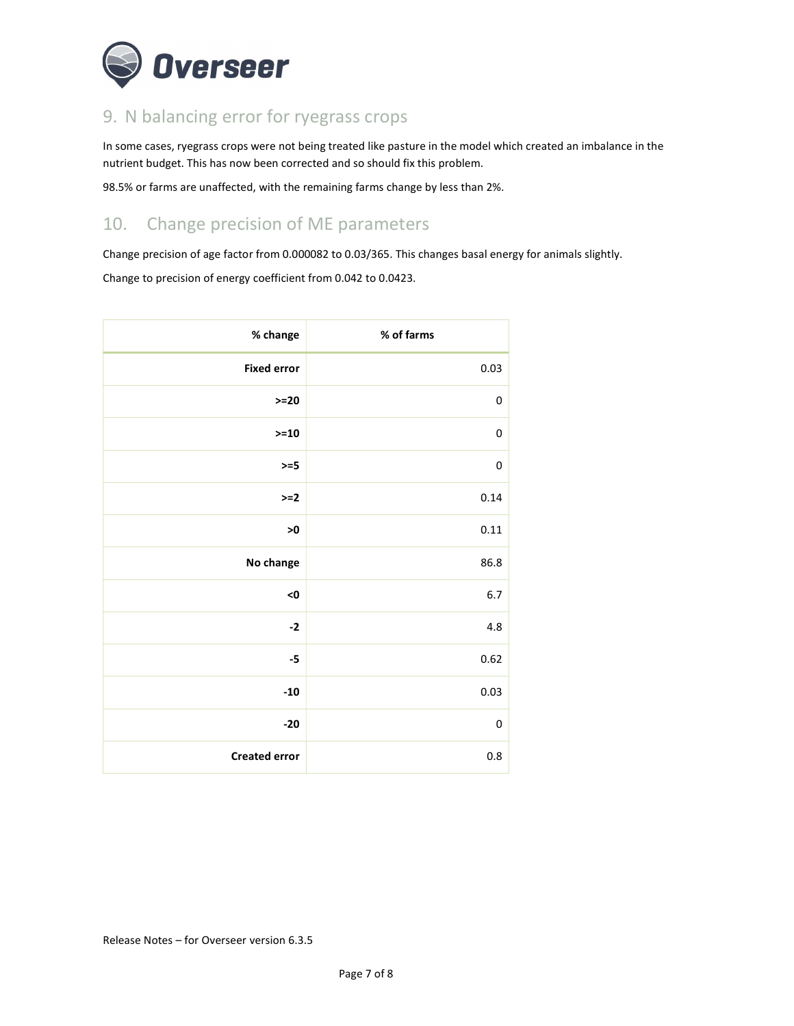

# 9. N balancing error for ryegrass crops

In some cases, ryegrass crops were not being treated like pasture in the model which created an imbalance in the nutrient budget. This has now been corrected and so should fix this problem.

98.5% or farms are unaffected, with the remaining farms change by less than 2%.

## 10. Change precision of ME parameters

Change precision of age factor from 0.000082 to 0.03/365. This changes basal energy for animals slightly.

Change to precision of energy coefficient from 0.042 to 0.0423.

| % change             | % of farms  |
|----------------------|-------------|
| <b>Fixed error</b>   | 0.03        |
| $>=20$               | $\pmb{0}$   |
| $>=10$               | $\pmb{0}$   |
| $>=5$                | 0           |
| $>=2$                | 0.14        |
| $>0$                 | 0.11        |
| No change            | 86.8        |
| <0                   | $6.7\,$     |
| $-2$                 | 4.8         |
| $-5$                 | 0.62        |
| $-10$                | 0.03        |
| $-20$                | $\mathbf 0$ |
| <b>Created error</b> | 0.8         |